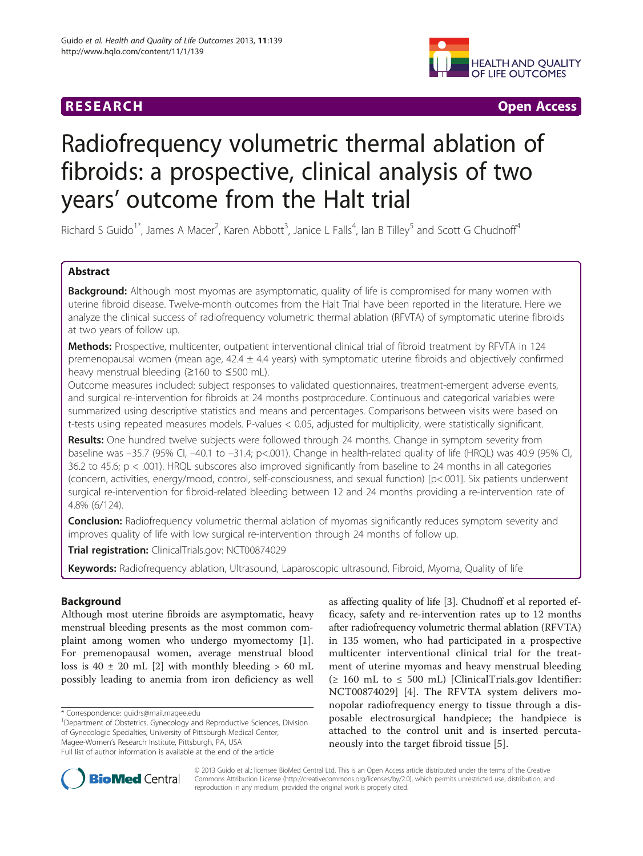## **RESEARCH CHE Open Access**



# Radiofrequency volumetric thermal ablation of fibroids: a prospective, clinical analysis of two years' outcome from the Halt trial

Richard S Guido<sup>1\*</sup>, James A Macer<sup>2</sup>, Karen Abbott<sup>3</sup>, Janice L Falls<sup>4</sup>, Ian B Tilley<sup>5</sup> and Scott G Chudnoff<sup>4</sup>

## Abstract

Background: Although most myomas are asymptomatic, quality of life is compromised for many women with uterine fibroid disease. Twelve-month outcomes from the Halt Trial have been reported in the literature. Here we analyze the clinical success of radiofrequency volumetric thermal ablation (RFVTA) of symptomatic uterine fibroids at two years of follow up.

Methods: Prospective, multicenter, outpatient interventional clinical trial of fibroid treatment by RFVTA in 124 premenopausal women (mean age,  $42.4 \pm 4.4$  years) with symptomatic uterine fibroids and objectively confirmed heavy menstrual bleeding (≥160 to ≤500 mL).

Outcome measures included: subject responses to validated questionnaires, treatment-emergent adverse events, and surgical re-intervention for fibroids at 24 months postprocedure. Continuous and categorical variables were summarized using descriptive statistics and means and percentages. Comparisons between visits were based on t-tests using repeated measures models. P-values < 0.05, adjusted for multiplicity, were statistically significant.

Results: One hundred twelve subjects were followed through 24 months. Change in symptom severity from baseline was –35.7 (95% CI, –40.1 to –31.4; p<.001). Change in health-related quality of life (HRQL) was 40.9 (95% CI, 36.2 to 45.6; p < .001). HRQL subscores also improved significantly from baseline to 24 months in all categories (concern, activities, energy/mood, control, self-consciousness, and sexual function) [p<.001]. Six patients underwent surgical re-intervention for fibroid-related bleeding between 12 and 24 months providing a re-intervention rate of 4.8% (6/124).

**Conclusion:** Radiofrequency volumetric thermal ablation of myomas significantly reduces symptom severity and improves quality of life with low surgical re-intervention through 24 months of follow up.

Trial registration: ClinicalTrials.gov: [NCT00874029](http://clinicaltrials.gov/show/NCT00874029)

Keywords: Radiofrequency ablation, Ultrasound, Laparoscopic ultrasound, Fibroid, Myoma, Quality of life

## Background

Although most uterine fibroids are asymptomatic, heavy menstrual bleeding presents as the most common complaint among women who undergo myomectomy [\[1](#page-7-0)]. For premenopausal women, average menstrual blood loss is  $40 \pm 20$  mL [[2\]](#page-7-0) with monthly bleeding  $> 60$  mL possibly leading to anemia from iron deficiency as well

\* Correspondence: [guidrs@mail.magee.edu](mailto:guidrs@mail.magee.edu) <sup>1</sup>

Department of Obstetrics, Gynecology and Reproductive Sciences, Division of Gynecologic Specialties, University of Pittsburgh Medical Center, Magee-Women's Research Institute, Pittsburgh, PA, USA

as affecting quality of life [\[3](#page-7-0)]. Chudnoff et al reported efficacy, safety and re-intervention rates up to 12 months after radiofrequency volumetric thermal ablation (RFVTA) in 135 women, who had participated in a prospective multicenter interventional clinical trial for the treatment of uterine myomas and heavy menstrual bleeding (≥ 160 mL to ≤ 500 mL) [ClinicalTrials.gov Identifier: NCT00874029] [\[4\]](#page-7-0). The RFVTA system delivers monopolar radiofrequency energy to tissue through a disposable electrosurgical handpiece; the handpiece is attached to the control unit and is inserted percutaneously into the target fibroid tissue [[5\]](#page-7-0).



© 2013 Guido et al.; licensee BioMed Central Ltd. This is an Open Access article distributed under the terms of the Creative Commons Attribution License [\(http://creativecommons.org/licenses/by/2.0\)](http://creativecommons.org/licenses/by/2.0), which permits unrestricted use, distribution, and reproduction in any medium, provided the original work is properly cited.

Full list of author information is available at the end of the article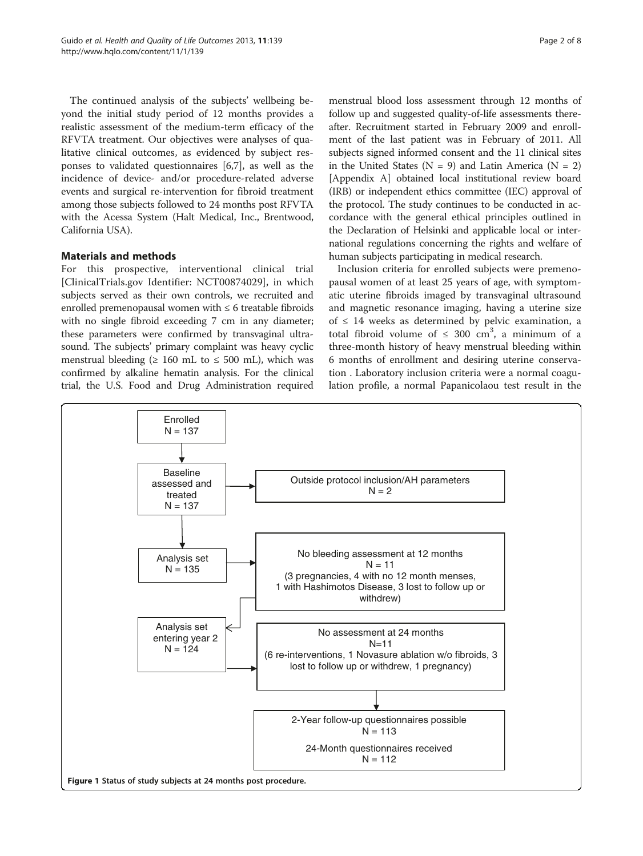<span id="page-1-0"></span>The continued analysis of the subjects' wellbeing beyond the initial study period of 12 months provides a realistic assessment of the medium-term efficacy of the RFVTA treatment. Our objectives were analyses of qualitative clinical outcomes, as evidenced by subject responses to validated questionnaires [\[6](#page-7-0),[7](#page-7-0)], as well as the incidence of device- and/or procedure-related adverse events and surgical re-intervention for fibroid treatment among those subjects followed to 24 months post RFVTA with the Acessa System (Halt Medical, Inc., Brentwood, California USA).

## Materials and methods

For this prospective, interventional clinical trial [ClinicalTrials.gov Identifier: NCT00874029], in which subjects served as their own controls, we recruited and enrolled premenopausal women with ≤ 6 treatable fibroids with no single fibroid exceeding 7 cm in any diameter; these parameters were confirmed by transvaginal ultrasound. The subjects' primary complaint was heavy cyclic menstrual bleeding ( $\geq 160$  mL to  $\leq 500$  mL), which was confirmed by alkaline hematin analysis. For the clinical trial, the U.S. Food and Drug Administration required

menstrual blood loss assessment through 12 months of follow up and suggested quality-of-life assessments thereafter. Recruitment started in February 2009 and enrollment of the last patient was in February of 2011. All subjects signed informed consent and the 11 clinical sites in the United States ( $N = 9$ ) and Latin America ( $N = 2$ ) [[Appendix A](#page-6-0)] obtained local institutional review board (IRB) or independent ethics committee (IEC) approval of the protocol. The study continues to be conducted in accordance with the general ethical principles outlined in the Declaration of Helsinki and applicable local or international regulations concerning the rights and welfare of human subjects participating in medical research.

Inclusion criteria for enrolled subjects were premenopausal women of at least 25 years of age, with symptomatic uterine fibroids imaged by transvaginal ultrasound and magnetic resonance imaging, having a uterine size of  $\leq$  14 weeks as determined by pelvic examination, a total fibroid volume of  $\leq 300$  cm<sup>3</sup>, a minimum of a three-month history of heavy menstrual bleeding within 6 months of enrollment and desiring uterine conservation . Laboratory inclusion criteria were a normal coagulation profile, a normal Papanicolaou test result in the

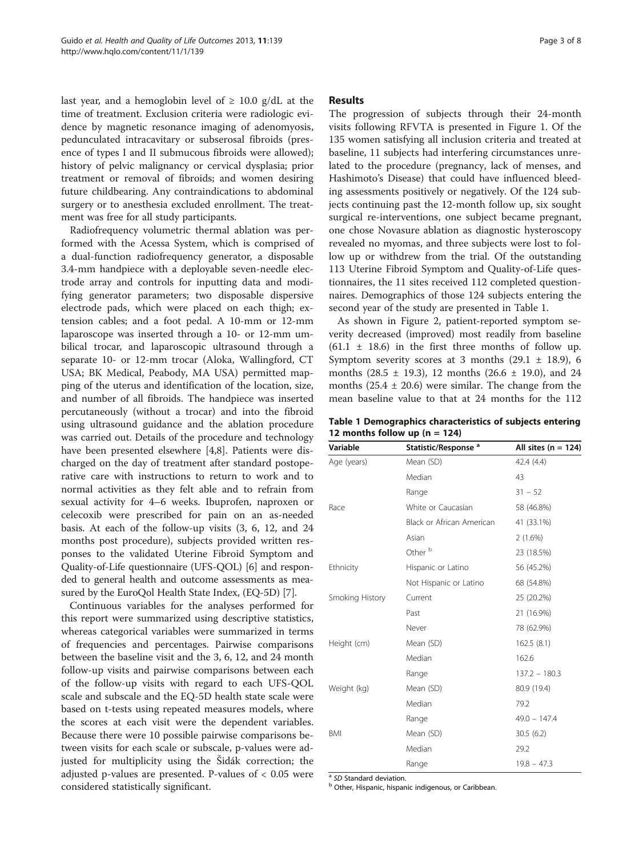last year, and a hemoglobin level of  $\geq 10.0$  g/dL at the time of treatment. Exclusion criteria were radiologic evidence by magnetic resonance imaging of adenomyosis, pedunculated intracavitary or subserosal fibroids (presence of types I and II submucous fibroids were allowed); history of pelvic malignancy or cervical dysplasia; prior treatment or removal of fibroids; and women desiring future childbearing. Any contraindications to abdominal surgery or to anesthesia excluded enrollment. The treatment was free for all study participants.

Radiofrequency volumetric thermal ablation was performed with the Acessa System, which is comprised of a dual-function radiofrequency generator, a disposable 3.4-mm handpiece with a deployable seven-needle electrode array and controls for inputting data and modifying generator parameters; two disposable dispersive electrode pads, which were placed on each thigh; extension cables; and a foot pedal. A 10-mm or 12-mm laparoscope was inserted through a 10- or 12-mm umbilical trocar, and laparoscopic ultrasound through a separate 10- or 12-mm trocar (Aloka, Wallingford, CT USA; BK Medical, Peabody, MA USA) permitted mapping of the uterus and identification of the location, size, and number of all fibroids. The handpiece was inserted percutaneously (without a trocar) and into the fibroid using ultrasound guidance and the ablation procedure was carried out. Details of the procedure and technology have been presented elsewhere [[4,8\]](#page-7-0). Patients were discharged on the day of treatment after standard postoperative care with instructions to return to work and to normal activities as they felt able and to refrain from sexual activity for 4–6 weeks. Ibuprofen, naproxen or celecoxib were prescribed for pain on an as-needed basis. At each of the follow-up visits (3, 6, 12, and 24 months post procedure), subjects provided written responses to the validated Uterine Fibroid Symptom and Quality-of-Life questionnaire (UFS-QOL) [[6](#page-7-0)] and responded to general health and outcome assessments as measured by the EuroQol Health State Index, (EQ-5D) [\[7\]](#page-7-0).

Continuous variables for the analyses performed for this report were summarized using descriptive statistics, whereas categorical variables were summarized in terms of frequencies and percentages. Pairwise comparisons between the baseline visit and the 3, 6, 12, and 24 month follow-up visits and pairwise comparisons between each of the follow-up visits with regard to each UFS-QOL scale and subscale and the EQ-5D health state scale were based on t-tests using repeated measures models, where the scores at each visit were the dependent variables. Because there were 10 possible pairwise comparisons between visits for each scale or subscale, p-values were adjusted for multiplicity using the Šidák correction; the adjusted p-values are presented. P-values of < 0.05 were considered statistically significant.

#### Results

The progression of subjects through their 24-month visits following RFVTA is presented in Figure [1](#page-1-0). Of the 135 women satisfying all inclusion criteria and treated at baseline, 11 subjects had interfering circumstances unrelated to the procedure (pregnancy, lack of menses, and Hashimoto's Disease) that could have influenced bleeding assessments positively or negatively. Of the 124 subjects continuing past the 12-month follow up, six sought surgical re-interventions, one subject became pregnant, one chose Novasure ablation as diagnostic hysteroscopy revealed no myomas, and three subjects were lost to follow up or withdrew from the trial. Of the outstanding 113 Uterine Fibroid Symptom and Quality-of-Life questionnaires, the 11 sites received 112 completed questionnaires. Demographics of those 124 subjects entering the second year of the study are presented in Table 1.

As shown in Figure [2,](#page-3-0) patient-reported symptom severity decreased (improved) most readily from baseline  $(61.1 \pm 18.6)$  in the first three months of follow up. Symptom severity scores at 3 months  $(29.1 \pm 18.9)$ , 6 months  $(28.5 \pm 19.3)$ , 12 months  $(26.6 \pm 19.0)$ , and 24 months  $(25.4 \pm 20.6)$  were similar. The change from the mean baseline value to that at 24 months for the 112

Table 1 Demographics characteristics of subjects entering 12 months follow up  $(n = 124)$ 

| Variable        | Statistic/Response <sup>a</sup> | All sites ( $n = 124$ ) |
|-----------------|---------------------------------|-------------------------|
| Age (years)     | Mean (SD)                       | 42.4 (4.4)              |
|                 | Median                          | 43                      |
|                 | Range                           | $31 - 52$               |
| Race            | White or Caucasian              | 58 (46.8%)              |
|                 | Black or African American       | 41 (33.1%)              |
|                 | Asian                           | 2(1.6%)                 |
|                 | Other <sup>b</sup>              | 23 (18.5%)              |
| Ethnicity       | Hispanic or Latino              | 56 (45.2%)              |
|                 | Not Hispanic or Latino          | 68 (54.8%)              |
| Smoking History | Current                         | 25 (20.2%)              |
|                 | Past                            | 21 (16.9%)              |
|                 | Never                           | 78 (62.9%)              |
| Height (cm)     | Mean (SD)                       | 162.5(8.1)              |
|                 | Median                          | 162.6                   |
|                 | Range                           | $137.2 - 180.3$         |
| Weight (kg)     | Mean (SD)                       | 80.9 (19.4)             |
|                 | Median                          | 79.2                    |
|                 | Range                           | $49.0 - 147.4$          |
| <b>BMI</b>      | Mean (SD)                       | 30.5(6.2)               |
|                 | Median                          | 29.2                    |
|                 | Range                           | $19.8 - 47.3$           |

<sup>a</sup> SD Standard deviation.<br><sup>b</sup> Other, Hispanic, hispanic indigenous, or Caribbean.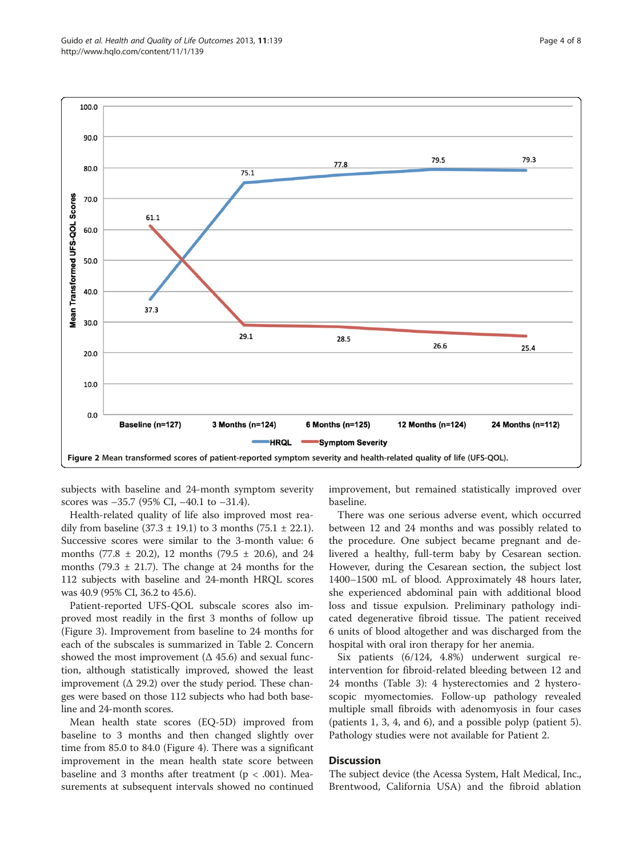<span id="page-3-0"></span>

subjects with baseline and 24-month symptom severity scores was –35.7 (95% CI, –40.1 to –31.4).

Health-related quality of life also improved most readily from baseline  $(37.3 \pm 19.1)$  to 3 months  $(75.1 \pm 22.1)$ . Successive scores were similar to the 3-month value: 6 months  $(77.8 \pm 20.2)$ , 12 months  $(79.5 \pm 20.6)$ , and 24 months (79.3  $\pm$  21.7). The change at 24 months for the 112 subjects with baseline and 24-month HRQL scores was 40.9 (95% CI, 36.2 to 45.6).

Patient-reported UFS-QOL subscale scores also improved most readily in the first 3 months of follow up (Figure [3\)](#page-4-0). Improvement from baseline to 24 months for each of the subscales is summarized in Table [2](#page-4-0). Concern showed the most improvement  $($  $\Delta$  45.6) and sexual function, although statistically improved, showed the least improvement  $($  $\Delta$  29.2) over the study period. These changes were based on those 112 subjects who had both baseline and 24-month scores.

Mean health state scores (EQ-5D) improved from baseline to 3 months and then changed slightly over time from 85.0 to 84.0 (Figure [4](#page-5-0)). There was a significant improvement in the mean health state score between baseline and 3 months after treatment ( $p < .001$ ). Measurements at subsequent intervals showed no continued improvement, but remained statistically improved over baseline.

There was one serious adverse event, which occurred between 12 and 24 months and was possibly related to the procedure. One subject became pregnant and delivered a healthy, full-term baby by Cesarean section. However, during the Cesarean section, the subject lost 1400–1500 mL of blood. Approximately 48 hours later, she experienced abdominal pain with additional blood loss and tissue expulsion. Preliminary pathology indicated degenerative fibroid tissue. The patient received 6 units of blood altogether and was discharged from the hospital with oral iron therapy for her anemia.

Six patients (6/124, 4.8%) underwent surgical reintervention for fibroid-related bleeding between 12 and 24 months (Table [3](#page-5-0)): 4 hysterectomies and 2 hysteroscopic myomectomies. Follow-up pathology revealed multiple small fibroids with adenomyosis in four cases (patients 1, 3, 4, and 6), and a possible polyp (patient 5). Pathology studies were not available for Patient 2.

#### Discussion

The subject device (the Acessa System, Halt Medical, Inc., Brentwood, California USA) and the fibroid ablation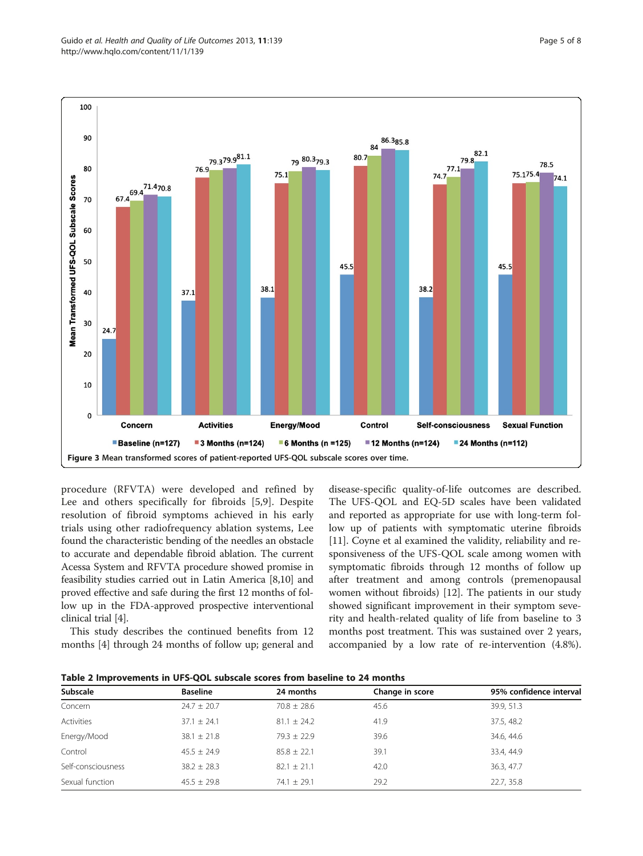<span id="page-4-0"></span>

procedure (RFVTA) were developed and refined by Lee and others specifically for fibroids [\[5](#page-7-0),[9\]](#page-7-0). Despite resolution of fibroid symptoms achieved in his early trials using other radiofrequency ablation systems, Lee found the characteristic bending of the needles an obstacle to accurate and dependable fibroid ablation. The current Acessa System and RFVTA procedure showed promise in feasibility studies carried out in Latin America [[8,10](#page-7-0)] and proved effective and safe during the first 12 months of follow up in the FDA-approved prospective interventional clinical trial [\[4\]](#page-7-0).

This study describes the continued benefits from 12 months [[4\]](#page-7-0) through 24 months of follow up; general and disease-specific quality-of-life outcomes are described. The UFS-QOL and EQ-5D scales have been validated and reported as appropriate for use with long-term follow up of patients with symptomatic uterine fibroids [[11\]](#page-7-0). Coyne et al examined the validity, reliability and responsiveness of the UFS-QOL scale among women with symptomatic fibroids through 12 months of follow up after treatment and among controls (premenopausal women without fibroids) [[12\]](#page-7-0). The patients in our study showed significant improvement in their symptom severity and health-related quality of life from baseline to 3 months post treatment. This was sustained over 2 years, accompanied by a low rate of re-intervention (4.8%).

| Subscale           | <b>Baseline</b> | 24 months       | Change in score | 95% confidence interval |
|--------------------|-----------------|-----------------|-----------------|-------------------------|
| Concern            | $24.7 \pm 20.7$ | $70.8 \pm 28.6$ | 45.6            | 39.9, 51.3              |
| Activities         | $37.1 \pm 24.1$ | $81.1 \pm 24.2$ | 41.9            | 37.5, 48.2              |
| Energy/Mood        | $38.1 \pm 21.8$ | $79.3 \pm 22.9$ | 39.6            | 34.6, 44.6              |
| Control            | $45.5 + 24.9$   | $85.8 \pm 22.1$ | 39.1            | 33.4, 44.9              |
| Self-consciousness | $38.2 \pm 28.3$ | $82.1 \pm 21.1$ | 42.0            | 36.3, 47.7              |
| Sexual function    | $45.5 \pm 29.8$ | $74.1 \pm 29.1$ | 29.2            | 22.7, 35.8              |

Table 2 Improvements in UFS-QOL subscale scores from baseline to 24 months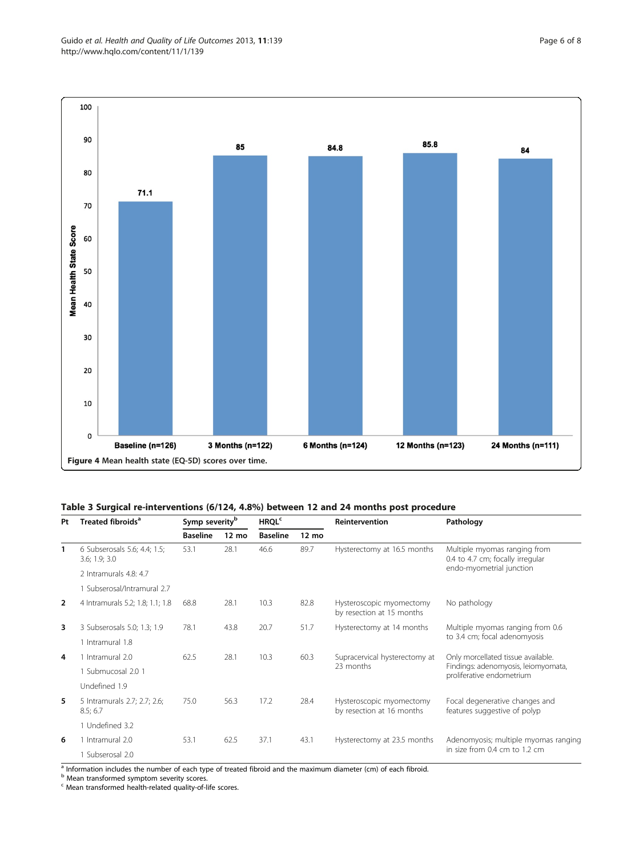<span id="page-5-0"></span>

### Table 3 Surgical re-interventions (6/124, 4.8%) between 12 and 24 months post procedure

| Pt             | Treated fibroids <sup>a</sup>                 | Symp severity <sup>b</sup> |                 | <b>HRQL<sup>c</sup></b> |                 | <b>Reintervention</b>                                 | Pathology                                                                                              |
|----------------|-----------------------------------------------|----------------------------|-----------------|-------------------------|-----------------|-------------------------------------------------------|--------------------------------------------------------------------------------------------------------|
|                |                                               | <b>Baseline</b>            | $12 \text{ mo}$ | <b>Baseline</b>         | $12 \text{ mo}$ |                                                       |                                                                                                        |
| 1              | 6 Subserosals 5.6; 4.4; 1.5;<br>3.6; 1.9; 3.0 | 53.1                       | 28.1            | 46.6                    | 89.7            | Hysterectomy at 16.5 months                           | Multiple myomas ranging from<br>0.4 to 4.7 cm; focally irregular<br>endo-myometrial junction           |
|                | 2 Intramurals 4.8: 4.7                        |                            |                 |                         |                 |                                                       |                                                                                                        |
|                | 1 Subserosal/Intramural 2.7                   |                            |                 |                         |                 |                                                       |                                                                                                        |
| $\overline{2}$ | 4 Intramurals 5.2; 1.8; 1.1; 1.8              | 68.8                       | 28.1            | 10.3                    | 82.8            | Hysteroscopic myomectomy<br>by resection at 15 months | No pathology                                                                                           |
| 3              | 3 Subserosals 5.0; 1.3; 1.9                   | 78.1                       | 43.8            | 20.7                    | 51.7            | Hysterectomy at 14 months                             | Multiple myomas ranging from 0.6<br>to 3.4 cm; focal adenomyosis                                       |
|                | 1 Intramural 1.8                              |                            |                 |                         |                 |                                                       |                                                                                                        |
| 4              | 1 Intramural 2.0                              | 62.5                       | 28.1            | 10.3                    | 60.3            | Supracervical hysterectomy at<br>23 months            | Only morcellated tissue available.<br>Findings: adenomyosis, leiomyomata,<br>proliferative endometrium |
|                | 1 Submucosal 2.0 1                            |                            |                 |                         |                 |                                                       |                                                                                                        |
|                | Undefined 1.9                                 |                            |                 |                         |                 |                                                       |                                                                                                        |
| 5              | 5 Intramurals 2.7; 2.7; 2.6;<br>8.5; 6.7      | 75.0                       | 56.3            | 17.2                    | 28.4            | Hysteroscopic myomectomy<br>by resection at 16 months | Focal degenerative changes and<br>features suggestive of polyp                                         |
|                | 1 Undefined 3.2                               |                            |                 |                         |                 |                                                       |                                                                                                        |
| 6              | 1 Intramural 2.0                              | 53.1                       | 62.5            | 37.1                    | 43.1            | Hysterectomy at 23.5 months                           | Adenomyosis; multiple myomas ranging                                                                   |
|                | 1 Subserosal 2.0                              |                            |                 |                         |                 |                                                       | in size from $0.4$ cm to $1.2$ cm                                                                      |

 $\frac{a}{b}$  Information includes the number of each type of treated fibroid and the maximum diameter (cm) of each fibroid.

b Mean transformed symptom severity scores.

<sup>c</sup> Mean transformed health-related quality-of-life scores.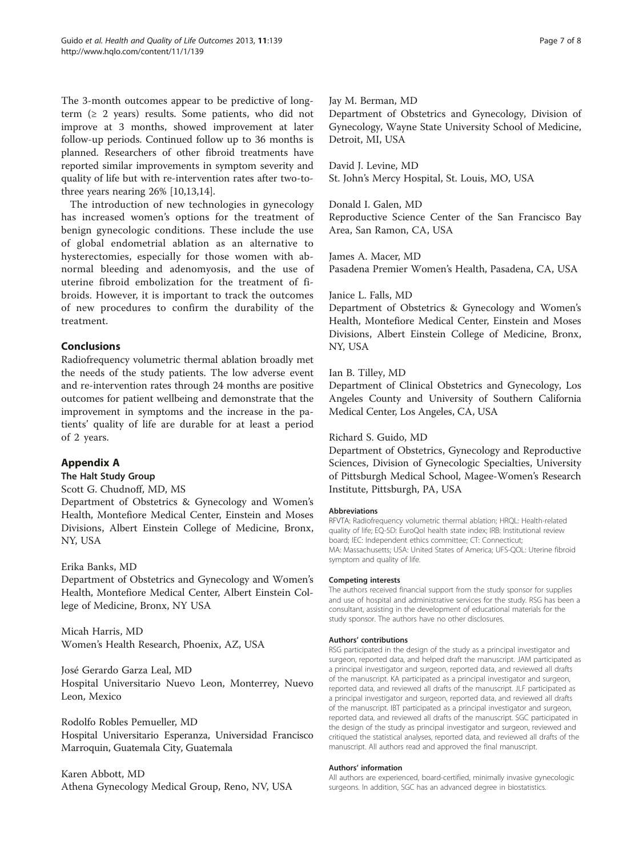<span id="page-6-0"></span>The 3-month outcomes appear to be predictive of longterm  $(2 2 \text{ years})$  results. Some patients, who did not improve at 3 months, showed improvement at later follow-up periods. Continued follow up to 36 months is planned. Researchers of other fibroid treatments have reported similar improvements in symptom severity and quality of life but with re-intervention rates after two-tothree years nearing 26% [\[10,13,14](#page-7-0)].

The introduction of new technologies in gynecology has increased women's options for the treatment of benign gynecologic conditions. These include the use of global endometrial ablation as an alternative to hysterectomies, especially for those women with abnormal bleeding and adenomyosis, and the use of uterine fibroid embolization for the treatment of fibroids. However, it is important to track the outcomes of new procedures to confirm the durability of the treatment.

## Conclusions

Radiofrequency volumetric thermal ablation broadly met the needs of the study patients. The low adverse event and re-intervention rates through 24 months are positive outcomes for patient wellbeing and demonstrate that the improvement in symptoms and the increase in the patients' quality of life are durable for at least a period of 2 years.

## Appendix A

#### The Halt Study Group

Scott G. Chudnoff, MD, MS

Department of Obstetrics & Gynecology and Women's Health, Montefiore Medical Center, Einstein and Moses Divisions, Albert Einstein College of Medicine, Bronx, NY, USA

#### Erika Banks, MD

Department of Obstetrics and Gynecology and Women's Health, Montefiore Medical Center, Albert Einstein College of Medicine, Bronx, NY USA

Micah Harris, MD Women's Health Research, Phoenix, AZ, USA

José Gerardo Garza Leal, MD Hospital Universitario Nuevo Leon, Monterrey, Nuevo Leon, Mexico

Rodolfo Robles Pemueller, MD Hospital Universitario Esperanza, Universidad Francisco Marroquin, Guatemala City, Guatemala

Karen Abbott, MD Athena Gynecology Medical Group, Reno, NV, USA

#### Jay M. Berman, MD

Department of Obstetrics and Gynecology, Division of Gynecology, Wayne State University School of Medicine, Detroit, MI, USA

David J. Levine, MD St. John's Mercy Hospital, St. Louis, MO, USA

#### Donald I. Galen, MD

Reproductive Science Center of the San Francisco Bay Area, San Ramon, CA, USA

James A. Macer, MD Pasadena Premier Women's Health, Pasadena, CA, USA

#### Janice L. Falls, MD

Department of Obstetrics & Gynecology and Women's Health, Montefiore Medical Center, Einstein and Moses Divisions, Albert Einstein College of Medicine, Bronx, NY, USA

#### Ian B. Tilley, MD

Department of Clinical Obstetrics and Gynecology, Los Angeles County and University of Southern California Medical Center, Los Angeles, CA, USA

#### Richard S. Guido, MD

Department of Obstetrics, Gynecology and Reproductive Sciences, Division of Gynecologic Specialties, University of Pittsburgh Medical School, Magee-Women's Research Institute, Pittsburgh, PA, USA

#### Abbreviations

RFVTA: Radiofrequency volumetric thermal ablation; HRQL: Health-related quality of life; EQ-5D: EuroQol health state index; IRB: Institutional review board; IEC: Independent ethics committee; CT: Connecticut; MA: Massachusetts; USA: United States of America; UFS-QOL: Uterine fibroid symptom and quality of life.

#### Competing interests

The authors received financial support from the study sponsor for supplies and use of hospital and administrative services for the study. RSG has been a consultant, assisting in the development of educational materials for the study sponsor. The authors have no other disclosures.

#### Authors' contributions

RSG participated in the design of the study as a principal investigator and surgeon, reported data, and helped draft the manuscript. JAM participated as a principal investigator and surgeon, reported data, and reviewed all drafts of the manuscript. KA participated as a principal investigator and surgeon, reported data, and reviewed all drafts of the manuscript. JLF participated as a principal investigator and surgeon, reported data, and reviewed all drafts of the manuscript. IBT participated as a principal investigator and surgeon, reported data, and reviewed all drafts of the manuscript. SGC participated in the design of the study as principal investigator and surgeon, reviewed and critiqued the statistical analyses, reported data, and reviewed all drafts of the manuscript. All authors read and approved the final manuscript.

#### Authors' information

All authors are experienced, board-certified, minimally invasive gynecologic surgeons. In addition, SGC has an advanced degree in biostatistics.